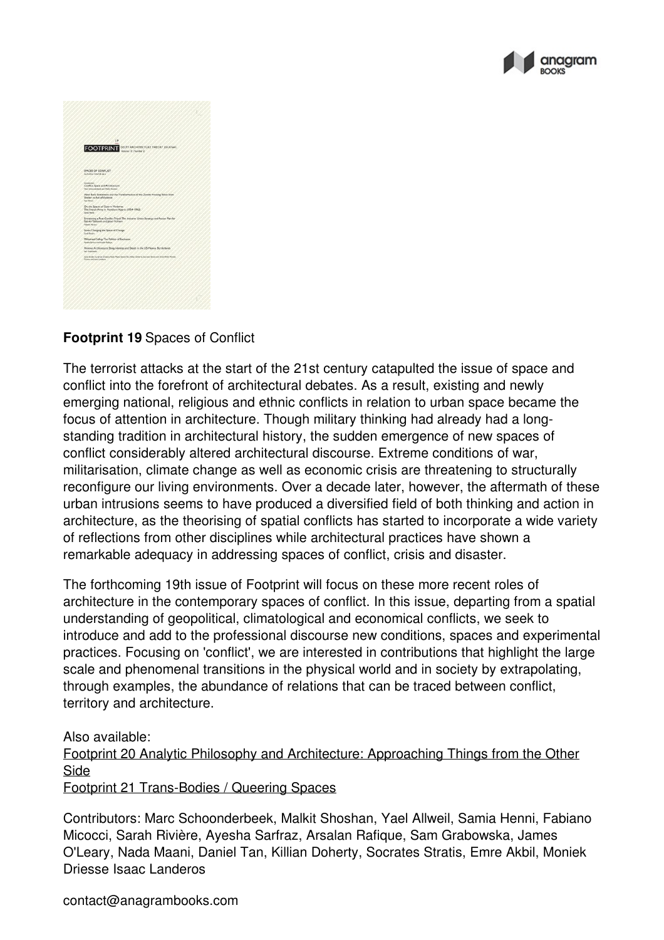



## **Footprint 19** Spaces of Conflict

The terrorist attacks at the start of the 21st century catapulted the issue of space and conflict into the forefront of architectural debates. As a result, existing and newly emerging national, religious and ethnic conflicts in relation to urban space became the focus of attention in architecture. Though military thinking had already had a long standing tradition in architectural history, the sudden emergence of new spaces of conflict considerably altered architectural discourse. Extreme conditions of war, militarisation, climate change as well as economic crisis are threatening to structurally reconfigure our living environments. Over a decade later, however, the aftermath of these urban intrusions seems to have produced a diversified field of both thinking and action in architecture, as the theorising of spatial conflicts has started to incorporate a wide variety of reflections from other disciplines while architectural practices have shown a remarkable adequacy in addressing spaces of conflict, crisis and disaster.

The forthcoming 19th issue of Footprint will focus on these more recent roles of architecture in the contemporary spaces of conflict. In this issue, departing from a spatial understanding of geopolitical, climatological and economical conflicts, we seek to introduce and add to the professional discourse new conditions, spaces and experimental practices. Focusing on 'conflict', we are interested in contributions that highlight the large scale and phenomenal transitions in the physical world and in society by extrapolating, through examples, the abundance ofrelations that can be traced between conflict, territory and architecture.

## Also available:

Footprint 20 Analytic Philosophy and [Architecture:](http://anagrambooks.com/footprint-20) Approaching Things from the Other Side

Footprint 21 [Trans-Bodies](http://anagrambooks.com/footprint-21) / Queering Spaces

Contributors: Marc Schoonderbeek, Malkit Shoshan, Yael Allweil, Samia Henni, Fabiano Micocci, Sarah Rivière, Ayesha Sarfraz, Arsalan Rafique, Sam Grabowska, James O'Leary, Nada Maani, Daniel Tan, Killian Doherty, Socrates Stratis, Emre Akbil, Moniek Driesse Isaac Landeros